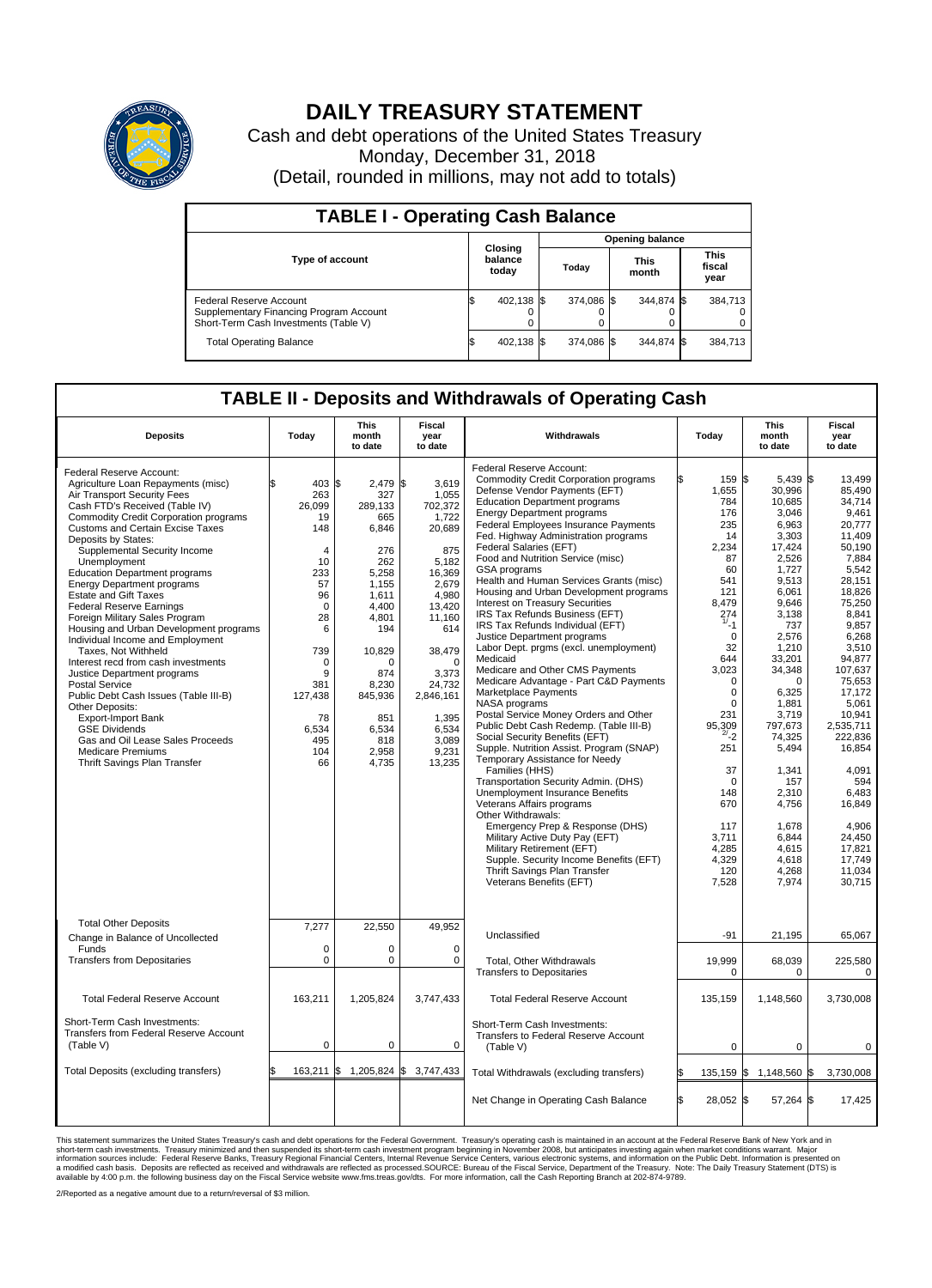

## **DAILY TREASURY STATEMENT**

Cash and debt operations of the United States Treasury Monday, December 31, 2018 (Detail, rounded in millions, may not add to totals)

| <b>TABLE I - Operating Cash Balance</b>                                                                     |  |                             |  |                        |  |                      |  |                               |  |  |
|-------------------------------------------------------------------------------------------------------------|--|-----------------------------|--|------------------------|--|----------------------|--|-------------------------------|--|--|
|                                                                                                             |  | Closing<br>balance<br>today |  | <b>Opening balance</b> |  |                      |  |                               |  |  |
| <b>Type of account</b>                                                                                      |  |                             |  | Today                  |  | <b>This</b><br>month |  | <b>This</b><br>fiscal<br>year |  |  |
| Federal Reserve Account<br>Supplementary Financing Program Account<br>Short-Term Cash Investments (Table V) |  | 402.138                     |  | 374.086 \$             |  | 344.874 \$           |  | 384.713                       |  |  |
| <b>Total Operating Balance</b>                                                                              |  | 402,138 \$                  |  | 374.086 \$             |  | 344.874 \$           |  | 384,713                       |  |  |

## **TABLE II - Deposits and Withdrawals of Operating Cash**

| <b>Deposits</b>                                                                                                                                                                                                                                                                                                                                                                                                                                                                                                                                                                                                                                                                                                                                                                                                                                                                            | Todav                                                                                                                                                                                               | This<br>month<br>to date                                                                                                                                                                        | Fiscal<br>year<br>to date                                                                                                                                                                                               | Withdrawals                                                                                                                                                                                                                                                                                                                                                                                                                                                                                                                                                                                                                                                                                                                                                                                                                                                                                                                                                                                                                                                                                                                                                                                                                                                                                                                            | Todav                                                                                                                                                                                                                                                                                                               | <b>This</b><br>month<br>to date                                                                                                                                                                                                                                                                                                           | <b>Fiscal</b><br>year<br>to date                                                                                                                                                                                                                                                                                                                  |
|--------------------------------------------------------------------------------------------------------------------------------------------------------------------------------------------------------------------------------------------------------------------------------------------------------------------------------------------------------------------------------------------------------------------------------------------------------------------------------------------------------------------------------------------------------------------------------------------------------------------------------------------------------------------------------------------------------------------------------------------------------------------------------------------------------------------------------------------------------------------------------------------|-----------------------------------------------------------------------------------------------------------------------------------------------------------------------------------------------------|-------------------------------------------------------------------------------------------------------------------------------------------------------------------------------------------------|-------------------------------------------------------------------------------------------------------------------------------------------------------------------------------------------------------------------------|----------------------------------------------------------------------------------------------------------------------------------------------------------------------------------------------------------------------------------------------------------------------------------------------------------------------------------------------------------------------------------------------------------------------------------------------------------------------------------------------------------------------------------------------------------------------------------------------------------------------------------------------------------------------------------------------------------------------------------------------------------------------------------------------------------------------------------------------------------------------------------------------------------------------------------------------------------------------------------------------------------------------------------------------------------------------------------------------------------------------------------------------------------------------------------------------------------------------------------------------------------------------------------------------------------------------------------------|---------------------------------------------------------------------------------------------------------------------------------------------------------------------------------------------------------------------------------------------------------------------------------------------------------------------|-------------------------------------------------------------------------------------------------------------------------------------------------------------------------------------------------------------------------------------------------------------------------------------------------------------------------------------------|---------------------------------------------------------------------------------------------------------------------------------------------------------------------------------------------------------------------------------------------------------------------------------------------------------------------------------------------------|
| Federal Reserve Account:<br>Agriculture Loan Repayments (misc)<br>Air Transport Security Fees<br>Cash FTD's Received (Table IV)<br><b>Commodity Credit Corporation programs</b><br><b>Customs and Certain Excise Taxes</b><br>Deposits by States:<br>Supplemental Security Income<br>Unemployment<br><b>Education Department programs</b><br><b>Energy Department programs</b><br><b>Estate and Gift Taxes</b><br><b>Federal Reserve Earnings</b><br>Foreign Military Sales Program<br>Housing and Urban Development programs<br>Individual Income and Employment<br>Taxes. Not Withheld<br>Interest recd from cash investments<br>Justice Department programs<br>Postal Service<br>Public Debt Cash Issues (Table III-B)<br>Other Deposits:<br>Export-Import Bank<br><b>GSE Dividends</b><br>Gas and Oil Lease Sales Proceeds<br><b>Medicare Premiums</b><br>Thrift Savings Plan Transfer | \$.<br>$403 \text{ s}$<br>263<br>26,099<br>19<br>148<br>$\overline{4}$<br>10<br>233<br>57<br>96<br>$\Omega$<br>28<br>6<br>739<br>$\Omega$<br>9<br>381<br>127,438<br>78<br>6,534<br>495<br>104<br>66 | 2,479 \$<br>327<br>289,133<br>665<br>6,846<br>276<br>262<br>5,258<br>1,155<br>1,611<br>4.400<br>4,801<br>194<br>10,829<br>O<br>874<br>8.230<br>845,936<br>851<br>6,534<br>818<br>2,958<br>4,735 | 3,619<br>1,055<br>702,372<br>1,722<br>20,689<br>875<br>5,182<br>16,369<br>2,679<br>4,980<br>13.420<br>11,160<br>614<br>38,479<br>$\Omega$<br>3,373<br>24,732<br>2,846,161<br>1,395<br>6,534<br>3.089<br>9,231<br>13,235 | Federal Reserve Account:<br><b>Commodity Credit Corporation programs</b><br>Defense Vendor Payments (EFT)<br><b>Education Department programs</b><br><b>Energy Department programs</b><br><b>Federal Employees Insurance Payments</b><br>Fed. Highway Administration programs<br><b>Federal Salaries (EFT)</b><br>Food and Nutrition Service (misc)<br>GSA programs<br>Health and Human Services Grants (misc)<br>Housing and Urban Development programs<br>Interest on Treasury Securities<br>IRS Tax Refunds Business (EFT)<br>IRS Tax Refunds Individual (EFT)<br>Justice Department programs<br>Labor Dept. prgms (excl. unemployment)<br>Medicaid<br>Medicare and Other CMS Payments<br>Medicare Advantage - Part C&D Payments<br>Marketplace Payments<br>NASA programs<br>Postal Service Money Orders and Other<br>Public Debt Cash Redemp. (Table III-B)<br>Social Security Benefits (EFT)<br>Supple. Nutrition Assist. Program (SNAP)<br>Temporary Assistance for Needy<br>Families (HHS)<br>Transportation Security Admin. (DHS)<br>Unemployment Insurance Benefits<br>Veterans Affairs programs<br>Other Withdrawals:<br>Emergency Prep & Response (DHS)<br>Military Active Duty Pay (EFT)<br>Military Retirement (EFT)<br>Supple. Security Income Benefits (EFT)<br>Thrift Savings Plan Transfer<br>Veterans Benefits (EFT) | 159<br>۱Ŧ.<br>1,655<br>784<br>176<br>235<br>14<br>2,234<br>87<br>60<br>541<br>121<br>8.479<br>$^{274}_{1/1}$<br>$\Omega$<br>32<br>644<br>3,023<br>$\Omega$<br>$\mathbf 0$<br>$\mathbf 0$<br>231<br>95,309<br>$^{2/-}$ 2<br>251<br>37<br>$\mathbf 0$<br>148<br>670<br>117<br>3.711<br>4,285<br>4,329<br>120<br>7,528 | \$<br>$5,439$ \$<br>30,996<br>10,685<br>3,046<br>6,963<br>3,303<br>17,424<br>2,526<br>1.727<br>9,513<br>6.061<br>9,646<br>3,138<br>737<br>2,576<br>1,210<br>33,201<br>34,348<br>$\Omega$<br>6,325<br>1,881<br>3,719<br>797.673<br>74,325<br>5,494<br>1,341<br>157<br>2.310<br>4,756<br>1,678<br>6.844<br>4,615<br>4,618<br>4,268<br>7,974 | 13,499<br>85.490<br>34,714<br>9.461<br>20,777<br>11,409<br>50,190<br>7,884<br>5,542<br>28,151<br>18.826<br>75,250<br>8.841<br>9,857<br>6.268<br>3.510<br>94,877<br>107,637<br>75.653<br>17,172<br>5,061<br>10.941<br>2.535.711<br>222,836<br>16,854<br>4,091<br>594<br>6.483<br>16,849<br>4,906<br>24.450<br>17,821<br>17,749<br>11,034<br>30,715 |
| <b>Total Other Deposits</b><br>Change in Balance of Uncollected<br>Funds<br><b>Transfers from Depositaries</b>                                                                                                                                                                                                                                                                                                                                                                                                                                                                                                                                                                                                                                                                                                                                                                             | 7,277<br>0<br>$\mathbf 0$                                                                                                                                                                           | 22,550<br>$\Omega$<br>0                                                                                                                                                                         | 49,952<br>$\Omega$<br>0                                                                                                                                                                                                 | Unclassified<br>Total, Other Withdrawals<br><b>Transfers to Depositaries</b>                                                                                                                                                                                                                                                                                                                                                                                                                                                                                                                                                                                                                                                                                                                                                                                                                                                                                                                                                                                                                                                                                                                                                                                                                                                           | $-91$<br>19.999<br>$\Omega$                                                                                                                                                                                                                                                                                         | 21,195<br>68.039<br>$\Omega$                                                                                                                                                                                                                                                                                                              | 65,067<br>225,580<br>$\Omega$                                                                                                                                                                                                                                                                                                                     |
| <b>Total Federal Reserve Account</b>                                                                                                                                                                                                                                                                                                                                                                                                                                                                                                                                                                                                                                                                                                                                                                                                                                                       | 163,211                                                                                                                                                                                             | 1,205,824                                                                                                                                                                                       | 3,747,433                                                                                                                                                                                                               | <b>Total Federal Reserve Account</b>                                                                                                                                                                                                                                                                                                                                                                                                                                                                                                                                                                                                                                                                                                                                                                                                                                                                                                                                                                                                                                                                                                                                                                                                                                                                                                   | 135,159                                                                                                                                                                                                                                                                                                             | 1,148,560                                                                                                                                                                                                                                                                                                                                 | 3,730,008                                                                                                                                                                                                                                                                                                                                         |
| Short-Term Cash Investments:<br>Transfers from Federal Reserve Account<br>(Table V)                                                                                                                                                                                                                                                                                                                                                                                                                                                                                                                                                                                                                                                                                                                                                                                                        | 0                                                                                                                                                                                                   | 0                                                                                                                                                                                               | 0                                                                                                                                                                                                                       | Short-Term Cash Investments:<br>Transfers to Federal Reserve Account<br>(Table V)                                                                                                                                                                                                                                                                                                                                                                                                                                                                                                                                                                                                                                                                                                                                                                                                                                                                                                                                                                                                                                                                                                                                                                                                                                                      | $\mathbf 0$                                                                                                                                                                                                                                                                                                         | $\pmb{0}$                                                                                                                                                                                                                                                                                                                                 | $\mathbf 0$                                                                                                                                                                                                                                                                                                                                       |
| Total Deposits (excluding transfers)                                                                                                                                                                                                                                                                                                                                                                                                                                                                                                                                                                                                                                                                                                                                                                                                                                                       |                                                                                                                                                                                                     | 163,211 \$ 1,205,824 \$ 3,747,433                                                                                                                                                               |                                                                                                                                                                                                                         | Total Withdrawals (excluding transfers)                                                                                                                                                                                                                                                                                                                                                                                                                                                                                                                                                                                                                                                                                                                                                                                                                                                                                                                                                                                                                                                                                                                                                                                                                                                                                                | ß.                                                                                                                                                                                                                                                                                                                  | 135,159 \$ 1,148,560 \$                                                                                                                                                                                                                                                                                                                   | 3,730,008                                                                                                                                                                                                                                                                                                                                         |
|                                                                                                                                                                                                                                                                                                                                                                                                                                                                                                                                                                                                                                                                                                                                                                                                                                                                                            |                                                                                                                                                                                                     |                                                                                                                                                                                                 |                                                                                                                                                                                                                         | Net Change in Operating Cash Balance                                                                                                                                                                                                                                                                                                                                                                                                                                                                                                                                                                                                                                                                                                                                                                                                                                                                                                                                                                                                                                                                                                                                                                                                                                                                                                   | l\$<br>28,052 \$                                                                                                                                                                                                                                                                                                    | 57,264 \$                                                                                                                                                                                                                                                                                                                                 | 17,425                                                                                                                                                                                                                                                                                                                                            |

This statement summarizes the United States Treasury's cash and debt operations for the Federal Government. Treasury soperating in November 2008, but anticalizate in neccount at the Federal Reserve Bank of New York and in<br>

2/Reported as a negative amount due to a return/reversal of \$3 million.